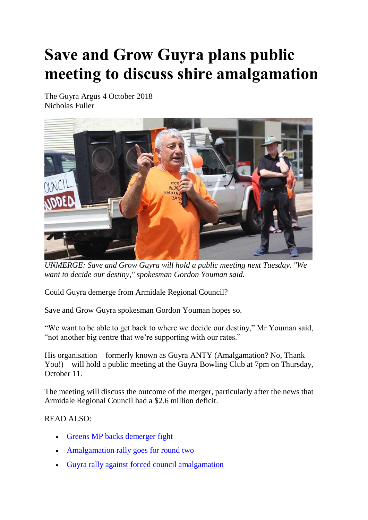## **Save and Grow Guyra plans public meeting to discuss shire amalgamation**

The Guyra Argus 4 October 2018 Nicholas Fuller



*UNMERGE: Save and Grow Guyra will hold a public meeting next Tuesday. "We want to decide our destiny," spokesman Gordon Youman said.*

Could Guyra demerge from Armidale Regional Council?

Save and Grow Guyra spokesman Gordon Youman hopes so.

"We want to be able to get back to where we decide our destiny," Mr Youman said, "not another big centre that we're supporting with our rates."

His organisation – formerly known as Guyra ANTY (Amalgamation? No, Thank You!) – will hold a public meeting at the Guyra Bowling Club at 7pm on Thursday, October 11.

The meeting will discuss the outcome of the merger, particularly after the news that Armidale Regional Council had a \$2.6 million deficit.

READ ALSO:

- [Greens MP backs demerger fight](https://www.guyraargus.com.au/story/4828319/greens-mp-backs-demerger-fight-video/)
- [Amalgamation rally goes for round two](https://www.guyraargus.com.au/story/4652207/amalgamation-rally-goes-for-round-two/)
- [Guyra rally against forced council amalgamation](https://www.guyraargus.com.au/story/4496053/betrayed-town-bites-back/)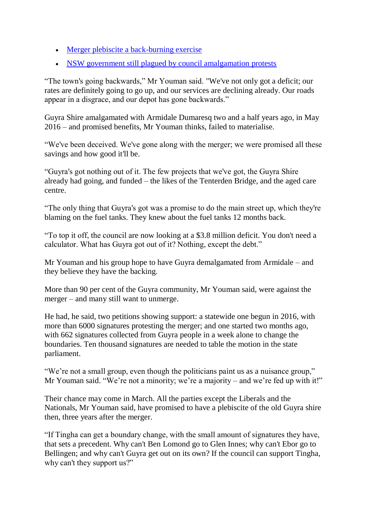- [Merger plebiscite a back-burning exercise](https://www.guyraargus.com.au/story/4455159/merger-plebiscite-a-back-burning-exercise/)
- [NSW government still plagued by council amalgamation protests](https://www.guyraargus.com.au/story/4437391/new-life-breathed-into-council-merger-fire/)

"The town's going backwards," Mr Youman said. "We've not only got a deficit; our rates are definitely going to go up, and our services are declining already. Our roads appear in a disgrace, and our depot has gone backwards."

Guyra Shire amalgamated with Armidale Dumaresq two and a half years ago, in May 2016 – and promised benefits, Mr Youman thinks, failed to materialise.

"We've been deceived. We've gone along with the merger; we were promised all these savings and how good it'll be.

"Guyra's got nothing out of it. The few projects that we've got, the Guyra Shire already had going, and funded – the likes of the Tenterden Bridge, and the aged care centre.

"The only thing that Guyra's got was a promise to do the main street up, which they're blaming on the fuel tanks. They knew about the fuel tanks 12 months back.

"To top it off, the council are now looking at a \$3.8 million deficit. You don't need a calculator. What has Guyra got out of it? Nothing, except the debt."

Mr Youman and his group hope to have Guyra demalgamated from Armidale – and they believe they have the backing.

More than 90 per cent of the Guyra community, Mr Youman said, were against the merger – and many still want to unmerge.

He had, he said, two petitions showing support: a statewide one begun in 2016, with more than 6000 signatures protesting the merger; and one started two months ago, with 662 signatures collected from Guyra people in a week alone to change the boundaries. Ten thousand signatures are needed to table the motion in the state parliament.

"We're not a small group, even though the politicians paint us as a nuisance group," Mr Youman said. "We're not a minority; we're a majority – and we're fed up with it!"

Their chance may come in March. All the parties except the Liberals and the Nationals, Mr Youman said, have promised to have a plebiscite of the old Guyra shire then, three years after the merger.

"If Tingha can get a boundary change, with the small amount of signatures they have, that sets a precedent. Why can't Ben Lomond go to Glen Innes; why can't Ebor go to Bellingen; and why can't Guyra get out on its own? If the council can support Tingha, why can't they support us?"